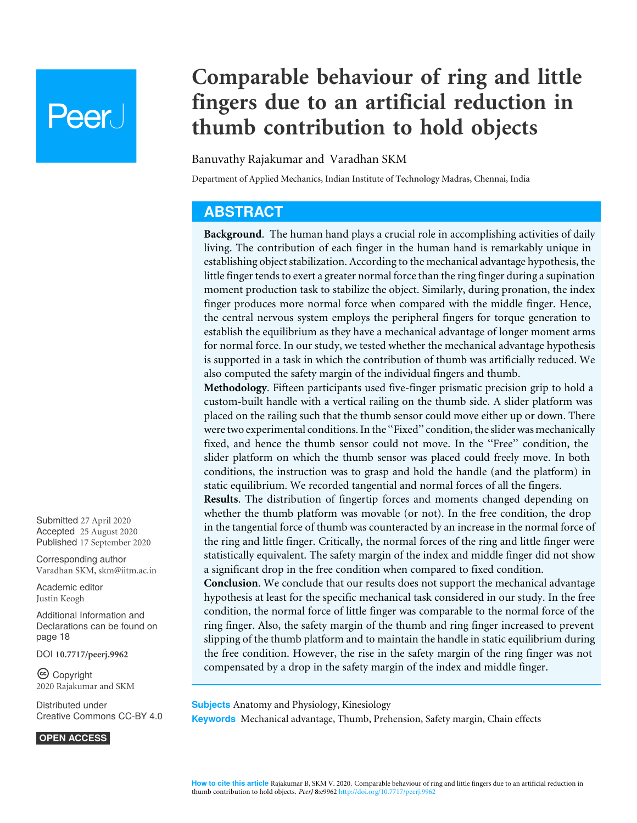# **Peer**

# **Comparable behaviour of ring and little fingers due to an artificial reduction in thumb contribution to hold objects**

#### Banuvathy Rajakumar and Varadhan SKM

Department of Applied Mechanics, Indian Institute of Technology Madras, Chennai, India

# **ABSTRACT**

**Background**. The human hand plays a crucial role in accomplishing activities of daily living. The contribution of each finger in the human hand is remarkably unique in establishing object stabilization. According to the mechanical advantage hypothesis, the little finger tends to exert a greater normal force than the ring finger during a supination moment production task to stabilize the object. Similarly, during pronation, the index finger produces more normal force when compared with the middle finger. Hence, the central nervous system employs the peripheral fingers for torque generation to establish the equilibrium as they have a mechanical advantage of longer moment arms for normal force. In our study, we tested whether the mechanical advantage hypothesis is supported in a task in which the contribution of thumb was artificially reduced. We also computed the safety margin of the individual fingers and thumb.

**Methodology**. Fifteen participants used five-finger prismatic precision grip to hold a custom-built handle with a vertical railing on the thumb side. A slider platform was placed on the railing such that the thumb sensor could move either up or down. There were two experimental conditions. In the ''Fixed'' condition, the slider was mechanically fixed, and hence the thumb sensor could not move. In the ''Free'' condition, the slider platform on which the thumb sensor was placed could freely move. In both conditions, the instruction was to grasp and hold the handle (and the platform) in static equilibrium. We recorded tangential and normal forces of all the fingers.

**Results**. The distribution of fingertip forces and moments changed depending on whether the thumb platform was movable (or not). In the free condition, the drop in the tangential force of thumb was counteracted by an increase in the normal force of the ring and little finger. Critically, the normal forces of the ring and little finger were statistically equivalent. The safety margin of the index and middle finger did not show a significant drop in the free condition when compared to fixed condition.

**Conclusion**. We conclude that our results does not support the mechanical advantage hypothesis at least for the specific mechanical task considered in our study. In the free condition, the normal force of little finger was comparable to the normal force of the ring finger. Also, the safety margin of the thumb and ring finger increased to prevent slipping of the thumb platform and to maintain the handle in static equilibrium during the free condition. However, the rise in the safety margin of the ring finger was not compensated by a drop in the safety margin of the index and middle finger.

**Subjects** Anatomy and Physiology, Kinesiology **Keywords** Mechanical advantage, Thumb, Prehension, Safety margin, Chain effects

Submitted 27 April 2020 Accepted 25 August 2020 Published 17 September 2020

Corresponding author Varadhan SKM, skm@iitm.ac.in

Academic editor Justin Keogh

Additional Information and Declarations can be found on page 18

DOI **10.7717/peerj.9962**

Ccopyright 2020 Rajakumar and SKM

Distributed under Creative Commons CC-BY 4.0

**OPEN ACCESS**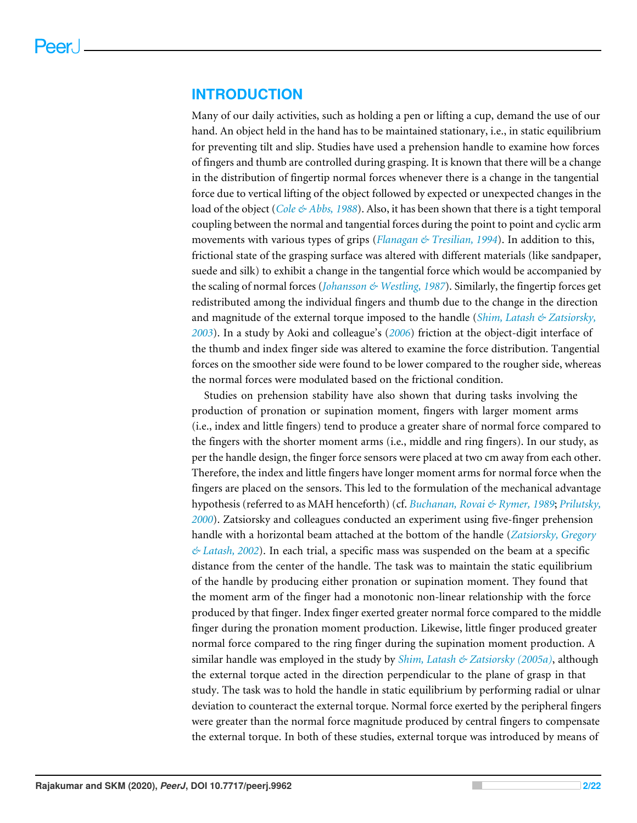# **INTRODUCTION**

Many of our daily activities, such as holding a pen or lifting a cup, demand the use of our hand. An object held in the hand has to be maintained stationary, i.e., in static equilibrium for preventing tilt and slip. Studies have used a prehension handle to examine how forces of fingers and thumb are controlled during grasping. It is known that there will be a change in the distribution of fingertip normal forces whenever there is a change in the tangential force due to vertical lifting of the object followed by expected or unexpected changes in the load of the object (*Cole & Abbs, 1988*). Also, it has been shown that there is a tight temporal coupling between the normal and tangential forces during the point to point and cyclic arm movements with various types of grips (*Flanagan & Tresilian, 1994*). In addition to this, frictional state of the grasping surface was altered with different materials (like sandpaper, suede and silk) to exhibit a change in the tangential force which would be accompanied by the scaling of normal forces (*Johansson & Westling, 1987*). Similarly, the fingertip forces get redistributed among the individual fingers and thumb due to the change in the direction and magnitude of the external torque imposed to the handle (*Shim, Latash & Zatsiorsky, 2003*). In a study by Aoki and colleague's (*2006*) friction at the object-digit interface of the thumb and index finger side was altered to examine the force distribution. Tangential forces on the smoother side were found to be lower compared to the rougher side, whereas the normal forces were modulated based on the frictional condition.

Studies on prehension stability have also shown that during tasks involving the production of pronation or supination moment, fingers with larger moment arms (i.e., index and little fingers) tend to produce a greater share of normal force compared to the fingers with the shorter moment arms (i.e., middle and ring fingers). In our study, as per the handle design, the finger force sensors were placed at two cm away from each other. Therefore, the index and little fingers have longer moment arms for normal force when the fingers are placed on the sensors. This led to the formulation of the mechanical advantage hypothesis (referred to as MAH henceforth) (cf. *Buchanan, Rovai & Rymer, 1989*; *Prilutsky, 2000*). Zatsiorsky and colleagues conducted an experiment using five-finger prehension handle with a horizontal beam attached at the bottom of the handle (*Zatsiorsky, Gregory & Latash, 2002*). In each trial, a specific mass was suspended on the beam at a specific distance from the center of the handle. The task was to maintain the static equilibrium of the handle by producing either pronation or supination moment. They found that the moment arm of the finger had a monotonic non-linear relationship with the force produced by that finger. Index finger exerted greater normal force compared to the middle finger during the pronation moment production. Likewise, little finger produced greater normal force compared to the ring finger during the supination moment production. A similar handle was employed in the study by *Shim, Latash & Zatsiorsky (2005a)*, although the external torque acted in the direction perpendicular to the plane of grasp in that study. The task was to hold the handle in static equilibrium by performing radial or ulnar deviation to counteract the external torque. Normal force exerted by the peripheral fingers were greater than the normal force magnitude produced by central fingers to compensate the external torque. In both of these studies, external torque was introduced by means of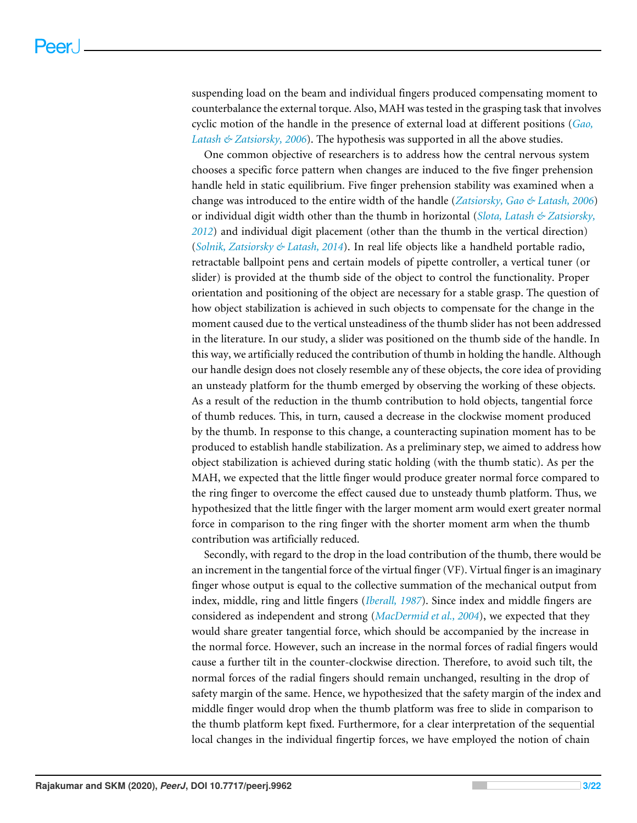suspending load on the beam and individual fingers produced compensating moment to counterbalance the external torque. Also, MAH was tested in the grasping task that involves cyclic motion of the handle in the presence of external load at different positions (*Gao, Latash & Zatsiorsky, 2006*). The hypothesis was supported in all the above studies.

One common objective of researchers is to address how the central nervous system chooses a specific force pattern when changes are induced to the five finger prehension handle held in static equilibrium. Five finger prehension stability was examined when a change was introduced to the entire width of the handle (*Zatsiorsky, Gao & Latash, 2006*) or individual digit width other than the thumb in horizontal (*Slota, Latash & Zatsiorsky, 2012*) and individual digit placement (other than the thumb in the vertical direction) (*Solnik, Zatsiorsky & Latash, 2014*). In real life objects like a handheld portable radio, retractable ballpoint pens and certain models of pipette controller, a vertical tuner (or slider) is provided at the thumb side of the object to control the functionality. Proper orientation and positioning of the object are necessary for a stable grasp. The question of how object stabilization is achieved in such objects to compensate for the change in the moment caused due to the vertical unsteadiness of the thumb slider has not been addressed in the literature. In our study, a slider was positioned on the thumb side of the handle. In this way, we artificially reduced the contribution of thumb in holding the handle. Although our handle design does not closely resemble any of these objects, the core idea of providing an unsteady platform for the thumb emerged by observing the working of these objects. As a result of the reduction in the thumb contribution to hold objects, tangential force of thumb reduces. This, in turn, caused a decrease in the clockwise moment produced by the thumb. In response to this change, a counteracting supination moment has to be produced to establish handle stabilization. As a preliminary step, we aimed to address how object stabilization is achieved during static holding (with the thumb static). As per the MAH, we expected that the little finger would produce greater normal force compared to the ring finger to overcome the effect caused due to unsteady thumb platform. Thus, we hypothesized that the little finger with the larger moment arm would exert greater normal force in comparison to the ring finger with the shorter moment arm when the thumb contribution was artificially reduced.

Secondly, with regard to the drop in the load contribution of the thumb, there would be an increment in the tangential force of the virtual finger (VF). Virtual finger is an imaginary finger whose output is equal to the collective summation of the mechanical output from index, middle, ring and little fingers (*Iberall, 1987*). Since index and middle fingers are considered as independent and strong (*MacDermid et al., 2004*), we expected that they would share greater tangential force, which should be accompanied by the increase in the normal force. However, such an increase in the normal forces of radial fingers would cause a further tilt in the counter-clockwise direction. Therefore, to avoid such tilt, the normal forces of the radial fingers should remain unchanged, resulting in the drop of safety margin of the same. Hence, we hypothesized that the safety margin of the index and middle finger would drop when the thumb platform was free to slide in comparison to the thumb platform kept fixed. Furthermore, for a clear interpretation of the sequential local changes in the individual fingertip forces, we have employed the notion of chain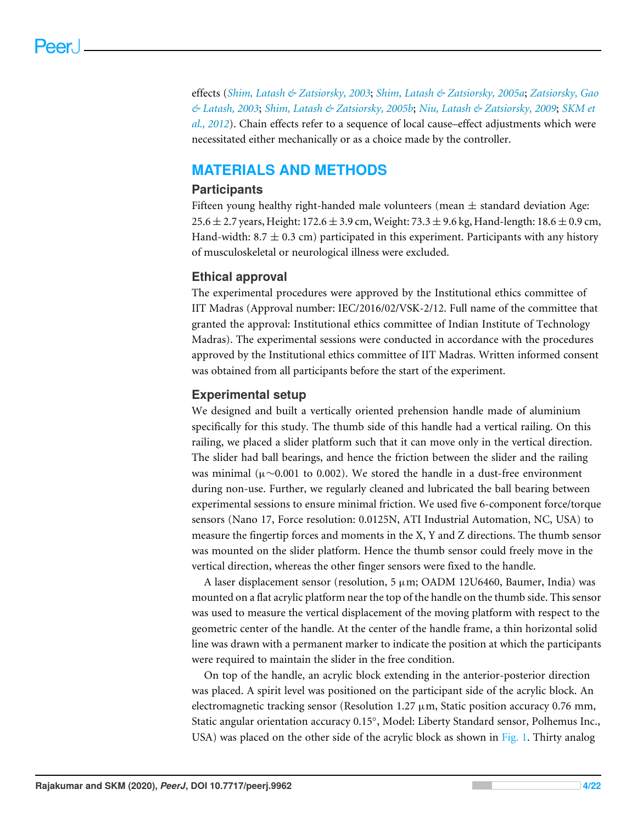effects (*Shim, Latash & Zatsiorsky, 2003*; *Shim, Latash & Zatsiorsky, 2005a*; *Zatsiorsky, Gao & Latash, 2003*; *Shim, Latash & Zatsiorsky, 2005b*; *Niu, Latash & Zatsiorsky, 2009*; *SKM et al., 2012*). Chain effects refer to a sequence of local cause–effect adjustments which were necessitated either mechanically or as a choice made by the controller.

# **MATERIALS AND METHODS**

## **Participants**

Fifteen young healthy right-handed male volunteers (mean  $\pm$  standard deviation Age: 25.6  $\pm$  2.7 years, Height: 172.6  $\pm$  3.9 cm, Weight: 73.3  $\pm$  9.6 kg, Hand-length: 18.6  $\pm$  0.9 cm, Hand-width: 8.7  $\pm$  0.3 cm) participated in this experiment. Participants with any history of musculoskeletal or neurological illness were excluded.

# **Ethical approval**

The experimental procedures were approved by the Institutional ethics committee of IIT Madras (Approval number: IEC/2016/02/VSK-2/12. Full name of the committee that granted the approval: Institutional ethics committee of Indian Institute of Technology Madras). The experimental sessions were conducted in accordance with the procedures approved by the Institutional ethics committee of IIT Madras. Written informed consent was obtained from all participants before the start of the experiment.

#### **Experimental setup**

We designed and built a vertically oriented prehension handle made of aluminium specifically for this study. The thumb side of this handle had a vertical railing. On this railing, we placed a slider platform such that it can move only in the vertical direction. The slider had ball bearings, and hence the friction between the slider and the railing was minimal ( $\mu$ ∼0.001 to 0.002). We stored the handle in a dust-free environment during non-use. Further, we regularly cleaned and lubricated the ball bearing between experimental sessions to ensure minimal friction. We used five 6-component force/torque sensors (Nano 17, Force resolution: 0.0125N, ATI Industrial Automation, NC, USA) to measure the fingertip forces and moments in the X, Y and Z directions. The thumb sensor was mounted on the slider platform. Hence the thumb sensor could freely move in the vertical direction, whereas the other finger sensors were fixed to the handle.

A laser displacement sensor (resolution,  $5 \mu m$ ; OADM 12U6460, Baumer, India) was mounted on a flat acrylic platform near the top of the handle on the thumb side. This sensor was used to measure the vertical displacement of the moving platform with respect to the geometric center of the handle. At the center of the handle frame, a thin horizontal solid line was drawn with a permanent marker to indicate the position at which the participants were required to maintain the slider in the free condition.

On top of the handle, an acrylic block extending in the anterior-posterior direction was placed. A spirit level was positioned on the participant side of the acrylic block. An electromagnetic tracking sensor (Resolution 1.27  $\mu$ m, Static position accuracy 0.76 mm, Static angular orientation accuracy 0.15°, Model: Liberty Standard sensor, Polhemus Inc., USA) was placed on the other side of the acrylic block as shown in Fig. 1. Thirty analog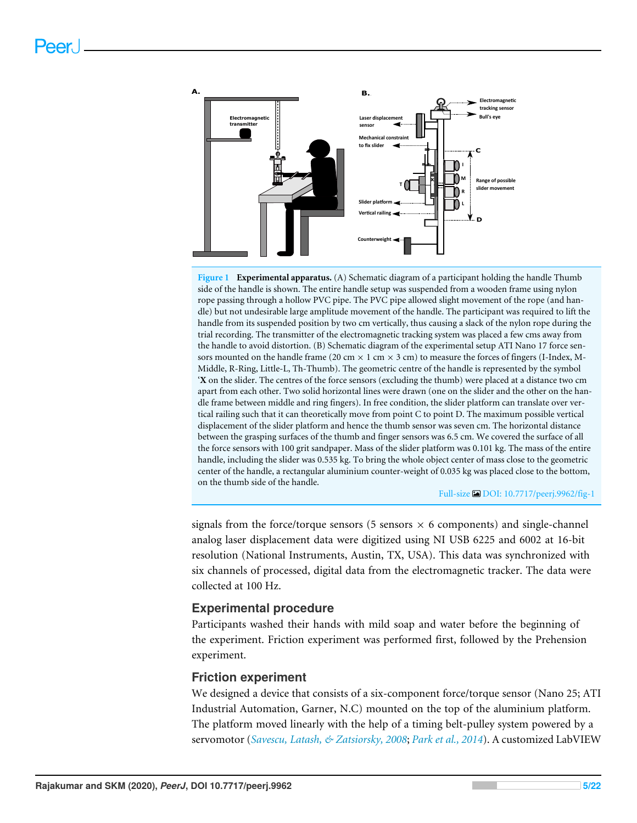

**Figure 1 Experimental apparatus.** (A) Schematic diagram of a participant holding the handle Thumb side of the handle is shown. The entire handle setup was suspended from a wooden frame using nylon rope passing through a hollow PVC pipe. The PVC pipe allowed slight movement of the rope (and handle) but not undesirable large amplitude movement of the handle. The participant was required to lift the handle from its suspended position by two cm vertically, thus causing a slack of the nylon rope during the trial recording. The transmitter of the electromagnetic tracking system was placed a few cms away from the handle to avoid distortion. (B) Schematic diagram of the experimental setup ATI Nano 17 force sensors mounted on the handle frame (20 cm  $\times$  1 cm  $\times$  3 cm) to measure the forces of fingers (I-Index, M-Middle, R-Ring, Little-L, Th-Thumb). The geometric centre of the handle is represented by the symbol '**X** on the slider. The centres of the force sensors (excluding the thumb) were placed at a distance two cm apart from each other. Two solid horizontal lines were drawn (one on the slider and the other on the handle frame between middle and ring fingers). In free condition, the slider platform can translate over vertical railing such that it can theoretically move from point C to point D. The maximum possible vertical displacement of the slider platform and hence the thumb sensor was seven cm. The horizontal distance between the grasping surfaces of the thumb and finger sensors was 6.5 cm. We covered the surface of all the force sensors with 100 grit sandpaper. Mass of the slider platform was 0.101 kg. The mass of the entire handle, including the slider was 0.535 kg. To bring the whole object center of mass close to the geometric center of the handle, a rectangular aluminium counter-weight of 0.035 kg was placed close to the bottom, on the thumb side of the handle.

Full-size DOI: 10.7717/peerj.9962/fig-1

signals from the force/torque sensors  $(5 \text{ sensors} \times 6 \text{ components})$  and single-channel analog laser displacement data were digitized using NI USB 6225 and 6002 at 16-bit resolution (National Instruments, Austin, TX, USA). This data was synchronized with six channels of processed, digital data from the electromagnetic tracker. The data were collected at 100 Hz.

#### **Experimental procedure**

Participants washed their hands with mild soap and water before the beginning of the experiment. Friction experiment was performed first, followed by the Prehension experiment.

#### **Friction experiment**

We designed a device that consists of a six-component force/torque sensor (Nano 25; ATI Industrial Automation, Garner, N.C) mounted on the top of the aluminium platform. The platform moved linearly with the help of a timing belt-pulley system powered by a servomotor (*Savescu, Latash, & Zatsiorsky, 2008*; *Park et al., 2014*). A customized LabVIEW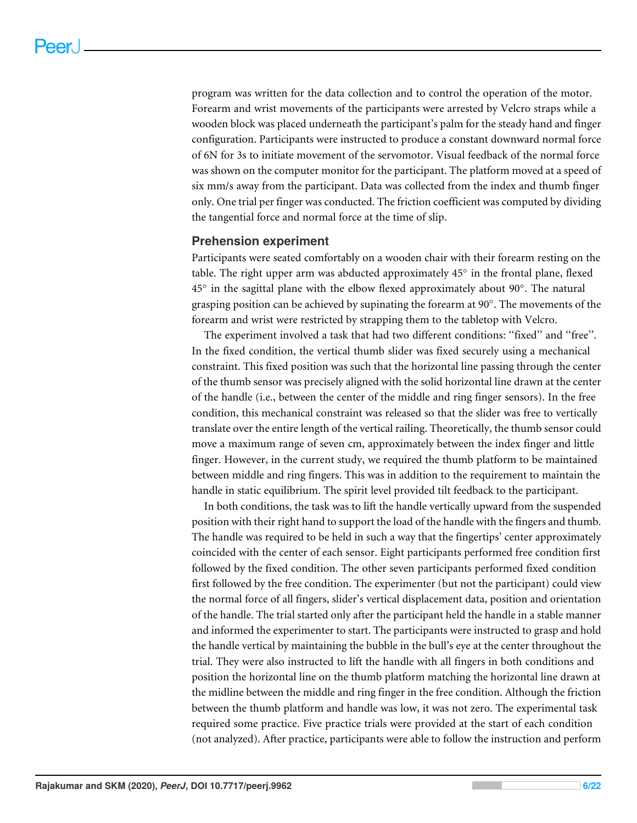program was written for the data collection and to control the operation of the motor. Forearm and wrist movements of the participants were arrested by Velcro straps while a wooden block was placed underneath the participant's palm for the steady hand and finger configuration. Participants were instructed to produce a constant downward normal force of 6N for 3s to initiate movement of the servomotor. Visual feedback of the normal force was shown on the computer monitor for the participant. The platform moved at a speed of six mm/s away from the participant. Data was collected from the index and thumb finger only. One trial per finger was conducted. The friction coefficient was computed by dividing the tangential force and normal force at the time of slip.

#### **Prehension experiment**

Participants were seated comfortably on a wooden chair with their forearm resting on the table. The right upper arm was abducted approximately 45° in the frontal plane, flexed 45° in the sagittal plane with the elbow flexed approximately about 90°. The natural grasping position can be achieved by supinating the forearm at 90°. The movements of the forearm and wrist were restricted by strapping them to the tabletop with Velcro.

The experiment involved a task that had two different conditions: ''fixed'' and ''free''. In the fixed condition, the vertical thumb slider was fixed securely using a mechanical constraint. This fixed position was such that the horizontal line passing through the center of the thumb sensor was precisely aligned with the solid horizontal line drawn at the center of the handle (i.e., between the center of the middle and ring finger sensors). In the free condition, this mechanical constraint was released so that the slider was free to vertically translate over the entire length of the vertical railing. Theoretically, the thumb sensor could move a maximum range of seven cm, approximately between the index finger and little finger. However, in the current study, we required the thumb platform to be maintained between middle and ring fingers. This was in addition to the requirement to maintain the handle in static equilibrium. The spirit level provided tilt feedback to the participant.

In both conditions, the task was to lift the handle vertically upward from the suspended position with their right hand to support the load of the handle with the fingers and thumb. The handle was required to be held in such a way that the fingertips' center approximately coincided with the center of each sensor. Eight participants performed free condition first followed by the fixed condition. The other seven participants performed fixed condition first followed by the free condition. The experimenter (but not the participant) could view the normal force of all fingers, slider's vertical displacement data, position and orientation of the handle. The trial started only after the participant held the handle in a stable manner and informed the experimenter to start. The participants were instructed to grasp and hold the handle vertical by maintaining the bubble in the bull's eye at the center throughout the trial. They were also instructed to lift the handle with all fingers in both conditions and position the horizontal line on the thumb platform matching the horizontal line drawn at the midline between the middle and ring finger in the free condition. Although the friction between the thumb platform and handle was low, it was not zero. The experimental task required some practice. Five practice trials were provided at the start of each condition (not analyzed). After practice, participants were able to follow the instruction and perform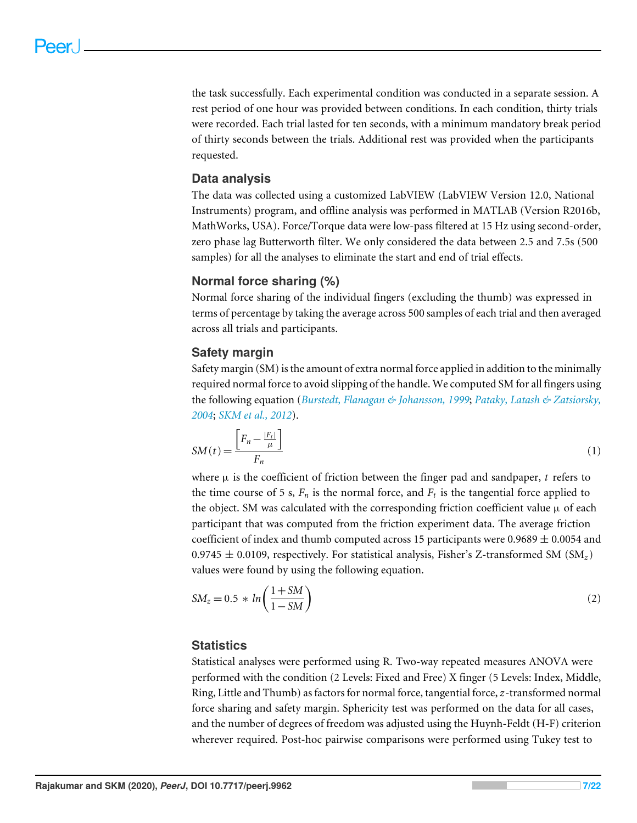the task successfully. Each experimental condition was conducted in a separate session. A rest period of one hour was provided between conditions. In each condition, thirty trials were recorded. Each trial lasted for ten seconds, with a minimum mandatory break period of thirty seconds between the trials. Additional rest was provided when the participants requested.

## **Data analysis**

The data was collected using a customized LabVIEW (LabVIEW Version 12.0, National Instruments) program, and offline analysis was performed in MATLAB (Version R2016b, MathWorks, USA). Force/Torque data were low-pass filtered at 15 Hz using second-order, zero phase lag Butterworth filter. We only considered the data between 2.5 and 7.5s (500 samples) for all the analyses to eliminate the start and end of trial effects.

#### **Normal force sharing (%)**

Normal force sharing of the individual fingers (excluding the thumb) was expressed in terms of percentage by taking the average across 500 samples of each trial and then averaged across all trials and participants.

#### **Safety margin**

Safety margin (SM) is the amount of extra normal force applied in addition to the minimally required normal force to avoid slipping of the handle. We computed SM for all fingers using the following equation (*Burstedt, Flanagan & Johansson, 1999*; *Pataky, Latash & Zatsiorsky, 2004*; *SKM et al., 2012*).

$$
SM(t) = \frac{\left[F_n - \frac{|F_t|}{\mu}\right]}{F_n} \tag{1}
$$

where  $\mu$  is the coefficient of friction between the finger pad and sandpaper, t refers to the time course of 5 s,  $F_n$  is the normal force, and  $F_t$  is the tangential force applied to the object. SM was calculated with the corresponding friction coefficient value  $\mu$  of each participant that was computed from the friction experiment data. The average friction coefficient of index and thumb computed across 15 participants were  $0.9689 \pm 0.0054$  and 0.9745  $\pm$  0.0109, respectively. For statistical analysis, Fisher's Z-transformed SM (SM<sub>z</sub>) values were found by using the following equation.

$$
SM_z = 0.5 * ln\left(\frac{1+SM}{1-SM}\right)
$$
\n<sup>(2)</sup>

#### **Statistics**

Statistical analyses were performed using R. Two-way repeated measures ANOVA were performed with the condition (2 Levels: Fixed and Free) X finger (5 Levels: Index, Middle, Ring, Little and Thumb) as factors for normal force, tangential force,*z*-transformed normal force sharing and safety margin. Sphericity test was performed on the data for all cases, and the number of degrees of freedom was adjusted using the Huynh-Feldt (H-F) criterion wherever required. Post-hoc pairwise comparisons were performed using Tukey test to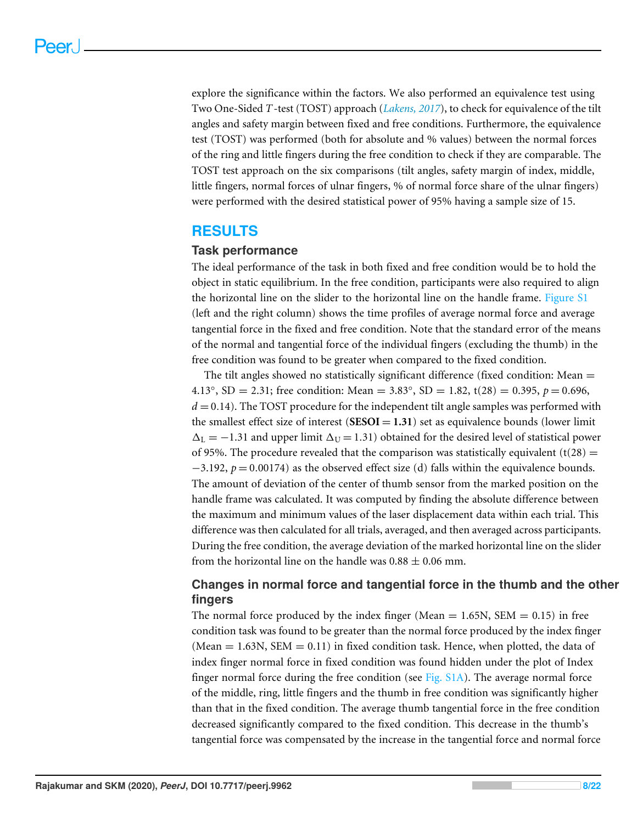explore the significance within the factors. We also performed an equivalence test using Two One-Sided *T*-test (TOST) approach (*Lakens, 2017*), to check for equivalence of the tilt angles and safety margin between fixed and free conditions. Furthermore, the equivalence test (TOST) was performed (both for absolute and % values) between the normal forces of the ring and little fingers during the free condition to check if they are comparable. The TOST test approach on the six comparisons (tilt angles, safety margin of index, middle, little fingers, normal forces of ulnar fingers, % of normal force share of the ulnar fingers) were performed with the desired statistical power of 95% having a sample size of 15.

# **RESULTS**

#### **Task performance**

The ideal performance of the task in both fixed and free condition would be to hold the object in static equilibrium. In the free condition, participants were also required to align the horizontal line on the slider to the horizontal line on the handle frame. Figure S1 (left and the right column) shows the time profiles of average normal force and average tangential force in the fixed and free condition. Note that the standard error of the means of the normal and tangential force of the individual fingers (excluding the thumb) in the free condition was found to be greater when compared to the fixed condition.

The tilt angles showed no statistically significant difference (fixed condition: Mean  $=$ 4.13°, SD = 2.31; free condition: Mean = 3.83°, SD = 1.82, t(28) = 0.395,  $p = 0.696$ ,  $d = 0.14$ ). The TOST procedure for the independent tilt angle samples was performed with the smallest effect size of interest  $(SESOI = 1.31)$  set as equivalence bounds (lower limit  $\Delta_L = -1.31$  and upper limit  $\Delta_U = 1.31$ ) obtained for the desired level of statistical power of 95%. The procedure revealed that the comparison was statistically equivalent (t(28) =  $-3.192$ ,  $p = 0.00174$ ) as the observed effect size (d) falls within the equivalence bounds. The amount of deviation of the center of thumb sensor from the marked position on the handle frame was calculated. It was computed by finding the absolute difference between the maximum and minimum values of the laser displacement data within each trial. This difference was then calculated for all trials, averaged, and then averaged across participants. During the free condition, the average deviation of the marked horizontal line on the slider from the horizontal line on the handle was  $0.88 \pm 0.06$  mm.

# **Changes in normal force and tangential force in the thumb and the other fingers**

The normal force produced by the index finger (Mean  $= 1.65N$ , SEM  $= 0.15$ ) in free condition task was found to be greater than the normal force produced by the index finger (Mean  $= 1.63N$ , SEM  $= 0.11$ ) in fixed condition task. Hence, when plotted, the data of index finger normal force in fixed condition was found hidden under the plot of Index finger normal force during the free condition (see Fig. S1A). The average normal force of the middle, ring, little fingers and the thumb in free condition was significantly higher than that in the fixed condition. The average thumb tangential force in the free condition decreased significantly compared to the fixed condition. This decrease in the thumb's tangential force was compensated by the increase in the tangential force and normal force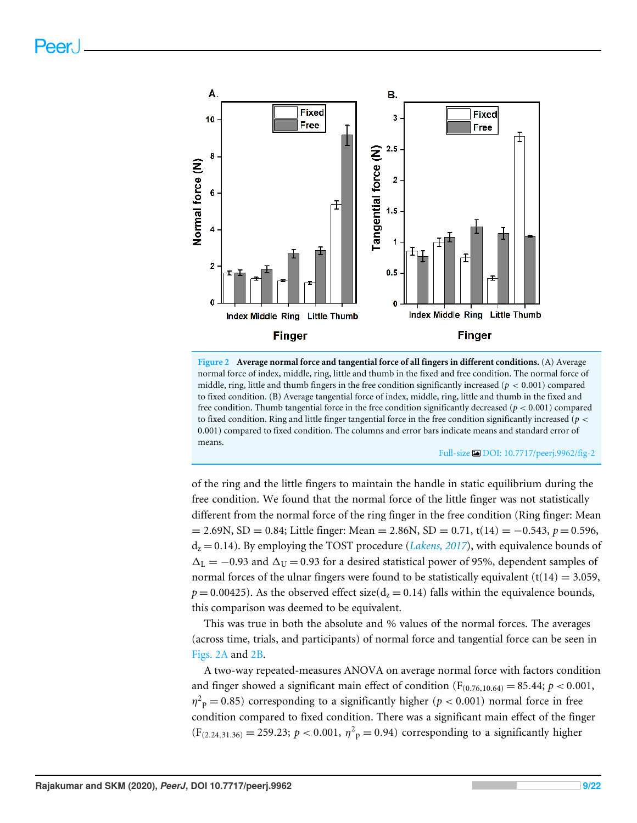

**Figure 2 Average normal force and tangential force of all fingers in different conditions.** (A) Average normal force of index, middle, ring, little and thumb in the fixed and free condition. The normal force of middle, ring, little and thumb fingers in the free condition significantly increased ( $p < 0.001$ ) compared to fixed condition. (B) Average tangential force of index, middle, ring, little and thumb in the fixed and free condition. Thumb tangential force in the free condition significantly decreased (*p* < 0.001) compared to fixed condition. Ring and little finger tangential force in the free condition significantly increased ( $p <$ 0.001) compared to fixed condition. The columns and error bars indicate means and standard error of means.

Full-size DOI: 10.7717/peerj.9962/fig-2

of the ring and the little fingers to maintain the handle in static equilibrium during the free condition. We found that the normal force of the little finger was not statistically different from the normal force of the ring finger in the free condition (Ring finger: Mean = 2.69N, SD = 0.84; Little finger: Mean = 2.86N, SD = 0.71, t(14) = −0.543, *p* = 0.596,  $d<sub>z</sub> = 0.14$ ). By employing the TOST procedure (*Lakens, 2017*), with equivalence bounds of  $\Delta_I = -0.93$  and  $\Delta_{II} = 0.93$  for a desired statistical power of 95%, dependent samples of normal forces of the ulnar fingers were found to be statistically equivalent  $(t(14) = 3.059$ ,  $p = 0.00425$ ). As the observed effect size( $d_z = 0.14$ ) falls within the equivalence bounds, this comparison was deemed to be equivalent.

This was true in both the absolute and % values of the normal forces. The averages (across time, trials, and participants) of normal force and tangential force can be seen in Figs. 2A and 2B.

A two-way repeated-measures ANOVA on average normal force with factors condition and finger showed a significant main effect of condition ( $F_{(0.76,10.64)} = 85.44; p < 0.001$ ,  $\eta^2$ <sub>p</sub> = 0.85) corresponding to a significantly higher (*p* < 0.001) normal force in free condition compared to fixed condition. There was a significant main effect of the finger  $(F_{(2.24,31.36)} = 259.23; p < 0.001, \eta^2$ <sub>p</sub> = 0.94) corresponding to a significantly higher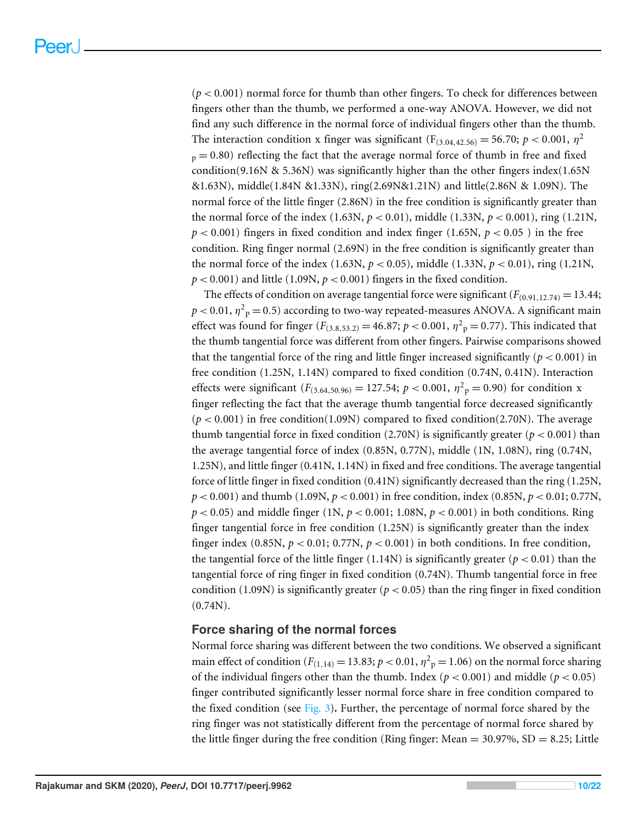$(p < 0.001)$  normal force for thumb than other fingers. To check for differences between fingers other than the thumb, we performed a one-way ANOVA. However, we did not find any such difference in the normal force of individual fingers other than the thumb. The interaction condition x finger was significant  $(F_{(3.04,42.56)} = 56.70; p < 0.001, \eta^2$  $_p = 0.80$ ) reflecting the fact that the average normal force of thumb in free and fixed condition(9.16N & 5.36N) was significantly higher than the other fingers index(1.65N) &1.63N), middle(1.84N &1.33N), ring(2.69N&1.21N) and little(2.86N & 1.09N). The normal force of the little finger (2.86N) in the free condition is significantly greater than the normal force of the index (1.63N, *p* < 0.01), middle (1.33N, *p* < 0.001), ring (1.21N,  $p < 0.001$ ) fingers in fixed condition and index finger (1.65N,  $p < 0.05$ ) in the free condition. Ring finger normal (2.69N) in the free condition is significantly greater than the normal force of the index  $(1.63N, p < 0.05)$ , middle  $(1.33N, p < 0.01)$ , ring  $(1.21N, p < 0.01)$  $p < 0.001$ ) and little (1.09N,  $p < 0.001$ ) fingers in the fixed condition.

The effects of condition on average tangential force were significant  $(F_{(0,91,12,74)} = 13.44;$  $p$  < 0.01,  $\eta^2$ <sub>p</sub> = 0.5) according to two-way repeated-measures ANOVA. A significant main effect was found for finger ( $F_{(3,8,53,2)} = 46.87; p < 0.001, \eta^2 \text{p} = 0.77$ ). This indicated that the thumb tangential force was different from other fingers. Pairwise comparisons showed that the tangential force of the ring and little finger increased significantly ( $p < 0.001$ ) in free condition (1.25N, 1.14N) compared to fixed condition (0.74N, 0.41N). Interaction effects were significant  $(F_{(3.64,50.96)} = 127.54; p < 0.001, \eta^2 \text{p} = 0.90)$  for condition x finger reflecting the fact that the average thumb tangential force decreased significantly  $(p < 0.001)$  in free condition(1.09N) compared to fixed condition(2.70N). The average thumb tangential force in fixed condition  $(2.70N)$  is significantly greater ( $p < 0.001$ ) than the average tangential force of index (0.85N, 0.77N), middle (1N, 1.08N), ring (0.74N, 1.25N), and little finger (0.41N, 1.14N) in fixed and free conditions. The average tangential force of little finger in fixed condition (0.41N) significantly decreased than the ring (1.25N, *p* < 0.001) and thumb (1.09N, *p* < 0.001) in free condition, index (0.85N, *p* < 0.01; 0.77N,  $p < 0.05$ ) and middle finger (1N,  $p < 0.001$ ; 1.08N,  $p < 0.001$ ) in both conditions. Ring finger tangential force in free condition (1.25N) is significantly greater than the index finger index  $(0.85N, p < 0.01; 0.77N, p < 0.001)$  in both conditions. In free condition, the tangential force of the little finger (1.14N) is significantly greater ( $p < 0.01$ ) than the tangential force of ring finger in fixed condition (0.74N). Thumb tangential force in free condition (1.09N) is significantly greater ( $p < 0.05$ ) than the ring finger in fixed condition  $(0.74N).$ 

#### **Force sharing of the normal forces**

Normal force sharing was different between the two conditions. We observed a significant main effect of condition ( $F_{(1,14)} = 13.83; p < 0.01, \eta^2$ <sub>p</sub> = 1.06) on the normal force sharing of the individual fingers other than the thumb. Index ( $p < 0.001$ ) and middle ( $p < 0.05$ ) finger contributed significantly lesser normal force share in free condition compared to the fixed condition (see Fig. 3)**.** Further, the percentage of normal force shared by the ring finger was not statistically different from the percentage of normal force shared by the little finger during the free condition (Ring finger: Mean  $=$  30.97%, SD  $=$  8.25; Little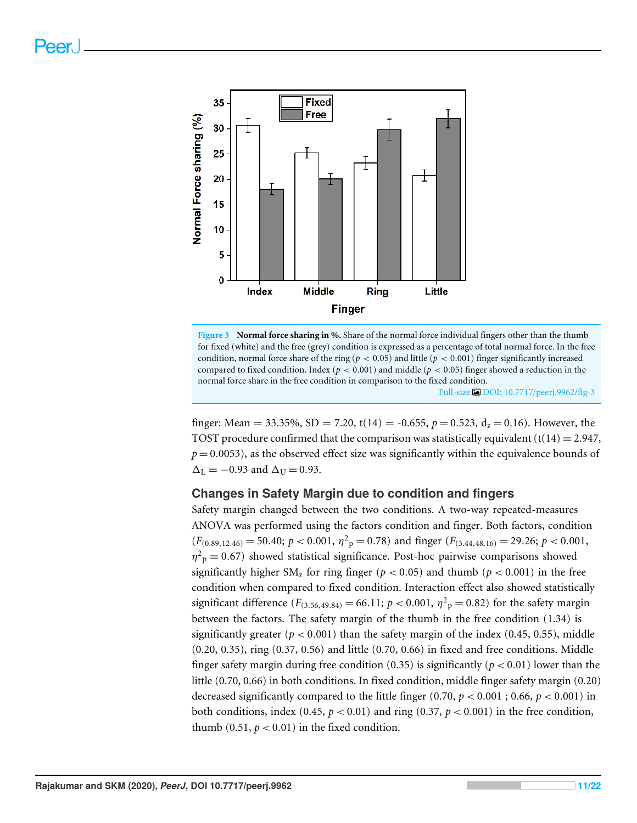

**Figure 3 Normal force sharing in %.** Share of the normal force individual fingers other than the thumb for fixed (white) and the free (grey) condition is expressed as a percentage of total normal force. In the free condition, normal force share of the ring ( $p < 0.05$ ) and little ( $p < 0.001$ ) finger significantly increased compared to fixed condition. Index ( $p < 0.001$ ) and middle ( $p < 0.05$ ) finger showed a reduction in the normal force share in the free condition in comparison to the fixed condition. Full-size DOI: 10.7717/peerj.9962/fig-3

finger: Mean = 33.35%, SD = 7.20, t(14) = -0.655,  $p = 0.523$ ,  $d<sub>z</sub> = 0.16$ ). However, the TOST procedure confirmed that the comparison was statistically equivalent  $(t(14) = 2.947,$  $p = 0.0053$ ), as the observed effect size was significantly within the equivalence bounds of  $\Delta_L = -0.93$  and  $\Delta_U = 0.93$ .

#### **Changes in Safety Margin due to condition and fingers**

Safety margin changed between the two conditions. A two-way repeated-measures ANOVA was performed using the factors condition and finger. Both factors, condition  $(F_{(0.89,12.46)} = 50.40; p < 0.001, \eta^2 \text{ p} = 0.78)$  and finger  $(F_{(3.44,48.16)} = 29.26; p < 0.001,$  $\eta^2$ <sub>p</sub> = 0.67) showed statistical significance. Post-hoc pairwise comparisons showed significantly higher  $SM<sub>z</sub>$  for ring finger ( $p < 0.05$ ) and thumb ( $p < 0.001$ ) in the free condition when compared to fixed condition. Interaction effect also showed statistically significant difference ( $F_{(3.56,49.84)} = 66.11; p < 0.001, \eta^2$ <sub>p</sub> = 0.82) for the safety margin between the factors. The safety margin of the thumb in the free condition (1.34) is significantly greater ( $p < 0.001$ ) than the safety margin of the index (0.45, 0.55), middle (0.20, 0.35), ring (0.37, 0.56) and little (0.70, 0.66) in fixed and free conditions. Middle finger safety margin during free condition (0.35) is significantly ( $p < 0.01$ ) lower than the little (0.70, 0.66) in both conditions. In fixed condition, middle finger safety margin (0.20) decreased significantly compared to the little finger  $(0.70, p < 0.001; 0.66, p < 0.001)$  in both conditions, index (0.45,  $p < 0.01$ ) and ring (0.37,  $p < 0.001$ ) in the free condition, thumb  $(0.51, p < 0.01)$  in the fixed condition.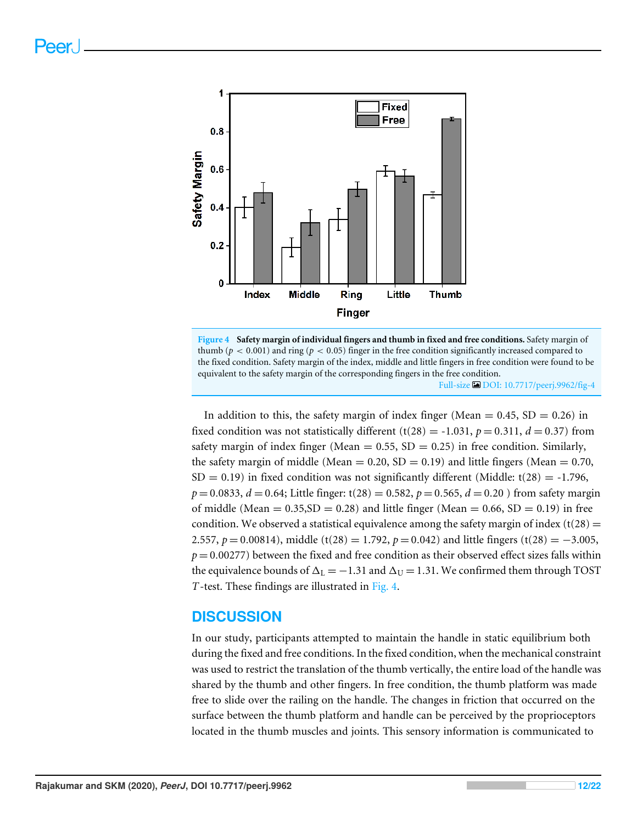

**Figure 4 Safety margin of individual fingers and thumb in fixed and free conditions.** Safety margin of thumb ( $p < 0.001$ ) and ring ( $p < 0.05$ ) finger in the free condition significantly increased compared to the fixed condition. Safety margin of the index, middle and little fingers in free condition were found to be equivalent to the safety margin of the corresponding fingers in the free condition. Full-size DOI: 10.7717/peerj.9962/fig-4

In addition to this, the safety margin of index finger (Mean  $= 0.45$ , SD  $= 0.26$ ) in fixed condition was not statistically different (t(28) = -1.031,  $p = 0.311$ ,  $d = 0.37$ ) from safety margin of index finger (Mean  $= 0.55$ , SD  $= 0.25$ ) in free condition. Similarly, the safety margin of middle (Mean =  $0.20$ , SD =  $0.19$ ) and little fingers (Mean = 0.70,  $SD = 0.19$ ) in fixed condition was not significantly different (Middle: t(28) = -1.796,  $p = 0.0833$ ,  $d = 0.64$ ; Little finger: t(28) = 0.582,  $p = 0.565$ ,  $d = 0.20$  ) from safety margin of middle (Mean  $= 0.35$ , SD  $= 0.28$ ) and little finger (Mean  $= 0.66$ , SD  $= 0.19$ ) in free condition. We observed a statistical equivalence among the safety margin of index (t(28) = 2.557,  $p = 0.00814$ ), middle (t(28) = 1.792,  $p = 0.042$ ) and little fingers (t(28) =  $-3.005$ ,  $p = 0.00277$ ) between the fixed and free condition as their observed effect sizes falls within the equivalence bounds of  $\Delta_L = -1.31$  and  $\Delta_U = 1.31$ . We confirmed them through TOST *T*-test. These findings are illustrated in Fig. 4.

# **DISCUSSION**

In our study, participants attempted to maintain the handle in static equilibrium both during the fixed and free conditions. In the fixed condition, when the mechanical constraint was used to restrict the translation of the thumb vertically, the entire load of the handle was shared by the thumb and other fingers. In free condition, the thumb platform was made free to slide over the railing on the handle. The changes in friction that occurred on the surface between the thumb platform and handle can be perceived by the proprioceptors located in the thumb muscles and joints. This sensory information is communicated to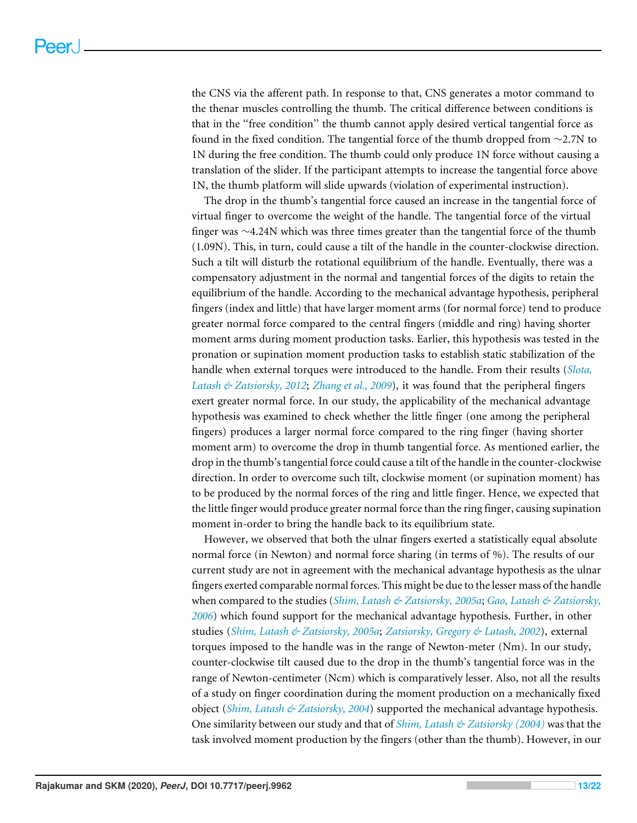the CNS via the afferent path. In response to that, CNS generates a motor command to the thenar muscles controlling the thumb. The critical difference between conditions is that in the ''free condition'' the thumb cannot apply desired vertical tangential force as found in the fixed condition. The tangential force of the thumb dropped from ∼2.7N to 1N during the free condition. The thumb could only produce 1N force without causing a translation of the slider. If the participant attempts to increase the tangential force above 1N, the thumb platform will slide upwards (violation of experimental instruction).

The drop in the thumb's tangential force caused an increase in the tangential force of virtual finger to overcome the weight of the handle. The tangential force of the virtual finger was ∼4.24N which was three times greater than the tangential force of the thumb (1.09N). This, in turn, could cause a tilt of the handle in the counter-clockwise direction. Such a tilt will disturb the rotational equilibrium of the handle. Eventually, there was a compensatory adjustment in the normal and tangential forces of the digits to retain the equilibrium of the handle. According to the mechanical advantage hypothesis, peripheral fingers (index and little) that have larger moment arms (for normal force) tend to produce greater normal force compared to the central fingers (middle and ring) having shorter moment arms during moment production tasks. Earlier, this hypothesis was tested in the pronation or supination moment production tasks to establish static stabilization of the handle when external torques were introduced to the handle. From their results (*Slota, Latash & Zatsiorsky, 2012*; *Zhang et al., 2009*), it was found that the peripheral fingers exert greater normal force. In our study, the applicability of the mechanical advantage hypothesis was examined to check whether the little finger (one among the peripheral fingers) produces a larger normal force compared to the ring finger (having shorter moment arm) to overcome the drop in thumb tangential force. As mentioned earlier, the drop in the thumb's tangential force could cause a tilt of the handle in the counter-clockwise direction. In order to overcome such tilt, clockwise moment (or supination moment) has to be produced by the normal forces of the ring and little finger. Hence, we expected that the little finger would produce greater normal force than the ring finger, causing supination moment in-order to bring the handle back to its equilibrium state.

However, we observed that both the ulnar fingers exerted a statistically equal absolute normal force (in Newton) and normal force sharing (in terms of %). The results of our current study are not in agreement with the mechanical advantage hypothesis as the ulnar fingers exerted comparable normal forces. This might be due to the lesser mass of the handle when compared to the studies (*Shim, Latash & Zatsiorsky, 2005a*; *Gao, Latash & Zatsiorsky, 2006*) which found support for the mechanical advantage hypothesis. Further, in other studies (*Shim, Latash & Zatsiorsky, 2005a*; *Zatsiorsky, Gregory & Latash, 2002*), external torques imposed to the handle was in the range of Newton-meter (Nm). In our study, counter-clockwise tilt caused due to the drop in the thumb's tangential force was in the range of Newton-centimeter (Ncm) which is comparatively lesser. Also, not all the results of a study on finger coordination during the moment production on a mechanically fixed object (*Shim, Latash & Zatsiorsky, 2004*) supported the mechanical advantage hypothesis. One similarity between our study and that of *Shim, Latash & Zatsiorsky (2004)* was that the task involved moment production by the fingers (other than the thumb). However, in our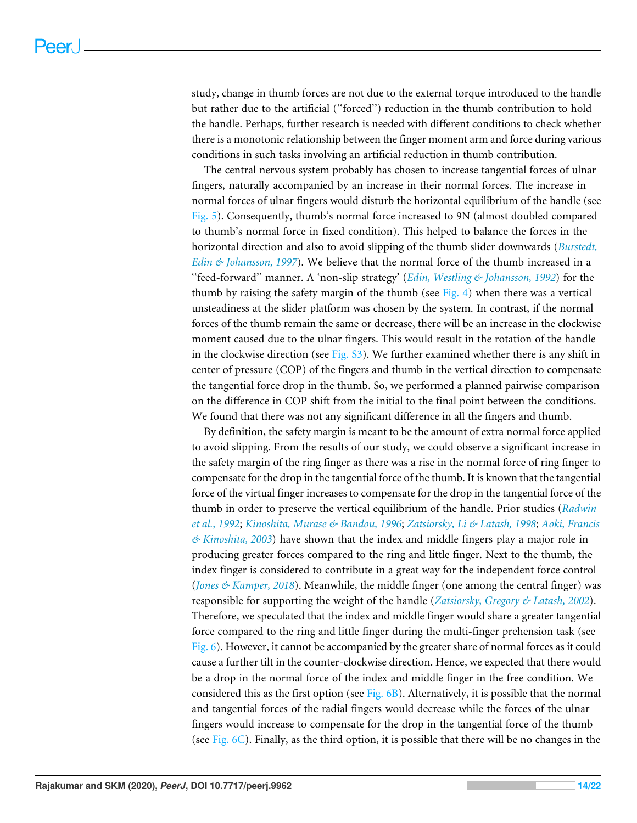study, change in thumb forces are not due to the external torque introduced to the handle but rather due to the artificial (''forced'') reduction in the thumb contribution to hold the handle. Perhaps, further research is needed with different conditions to check whether there is a monotonic relationship between the finger moment arm and force during various conditions in such tasks involving an artificial reduction in thumb contribution.

The central nervous system probably has chosen to increase tangential forces of ulnar fingers, naturally accompanied by an increase in their normal forces. The increase in normal forces of ulnar fingers would disturb the horizontal equilibrium of the handle (see Fig. 5). Consequently, thumb's normal force increased to 9N (almost doubled compared to thumb's normal force in fixed condition). This helped to balance the forces in the horizontal direction and also to avoid slipping of the thumb slider downwards (*Burstedt, Edin & Johansson, 1997*). We believe that the normal force of the thumb increased in a ''feed-forward'' manner. A 'non-slip strategy' (*Edin, Westling & Johansson, 1992*) for the thumb by raising the safety margin of the thumb (see Fig. 4) when there was a vertical unsteadiness at the slider platform was chosen by the system. In contrast, if the normal forces of the thumb remain the same or decrease, there will be an increase in the clockwise moment caused due to the ulnar fingers. This would result in the rotation of the handle in the clockwise direction (see Fig. S3). We further examined whether there is any shift in center of pressure (COP) of the fingers and thumb in the vertical direction to compensate the tangential force drop in the thumb. So, we performed a planned pairwise comparison on the difference in COP shift from the initial to the final point between the conditions. We found that there was not any significant difference in all the fingers and thumb.

By definition, the safety margin is meant to be the amount of extra normal force applied to avoid slipping. From the results of our study, we could observe a significant increase in the safety margin of the ring finger as there was a rise in the normal force of ring finger to compensate for the drop in the tangential force of the thumb. It is known that the tangential force of the virtual finger increases to compensate for the drop in the tangential force of the thumb in order to preserve the vertical equilibrium of the handle. Prior studies (*Radwin et al., 1992*; *Kinoshita, Murase & Bandou, 1996*; *Zatsiorsky, Li & Latash, 1998*; *Aoki, Francis & Kinoshita, 2003*) have shown that the index and middle fingers play a major role in producing greater forces compared to the ring and little finger. Next to the thumb, the index finger is considered to contribute in a great way for the independent force control (*Jones & Kamper, 2018*). Meanwhile, the middle finger (one among the central finger) was responsible for supporting the weight of the handle (*Zatsiorsky, Gregory & Latash, 2002*). Therefore, we speculated that the index and middle finger would share a greater tangential force compared to the ring and little finger during the multi-finger prehension task (see Fig. 6). However, it cannot be accompanied by the greater share of normal forces as it could cause a further tilt in the counter-clockwise direction. Hence, we expected that there would be a drop in the normal force of the index and middle finger in the free condition. We considered this as the first option (see Fig. 6B). Alternatively, it is possible that the normal and tangential forces of the radial fingers would decrease while the forces of the ulnar fingers would increase to compensate for the drop in the tangential force of the thumb (see Fig.  $6C$ ). Finally, as the third option, it is possible that there will be no changes in the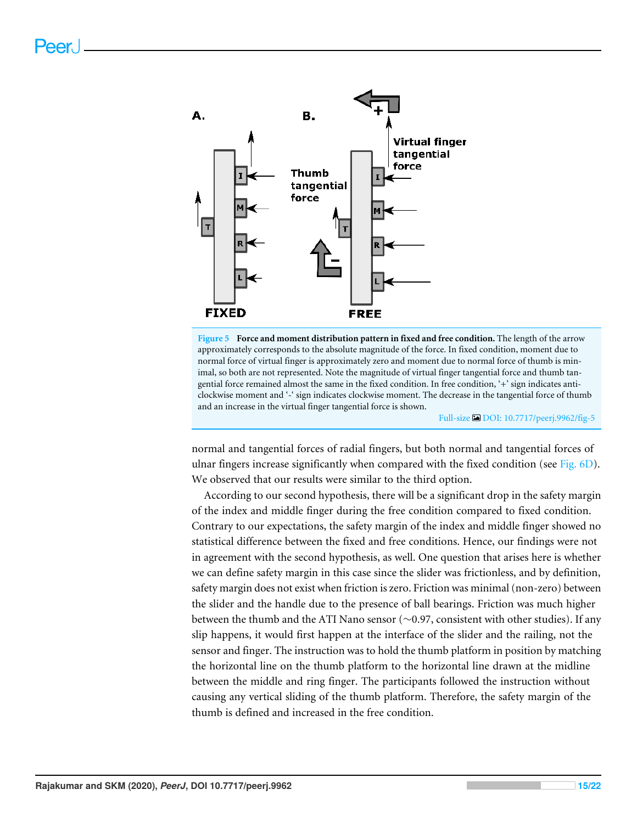

**Figure 5 Force and moment distribution pattern in fixed and free condition.** The length of the arrow approximately corresponds to the absolute magnitude of the force. In fixed condition, moment due to normal force of virtual finger is approximately zero and moment due to normal force of thumb is minimal, so both are not represented. Note the magnitude of virtual finger tangential force and thumb tangential force remained almost the same in the fixed condition. In free condition, '+' sign indicates anticlockwise moment and '-' sign indicates clockwise moment. The decrease in the tangential force of thumb and an increase in the virtual finger tangential force is shown.

Full-size DOI: 10.7717/peerj.9962/fig-5

normal and tangential forces of radial fingers, but both normal and tangential forces of ulnar fingers increase significantly when compared with the fixed condition (see Fig. 6D). We observed that our results were similar to the third option.

According to our second hypothesis, there will be a significant drop in the safety margin of the index and middle finger during the free condition compared to fixed condition. Contrary to our expectations, the safety margin of the index and middle finger showed no statistical difference between the fixed and free conditions. Hence, our findings were not in agreement with the second hypothesis, as well. One question that arises here is whether we can define safety margin in this case since the slider was frictionless, and by definition, safety margin does not exist when friction is zero. Friction was minimal (non-zero) between the slider and the handle due to the presence of ball bearings. Friction was much higher between the thumb and the ATI Nano sensor (∼0.97, consistent with other studies). If any slip happens, it would first happen at the interface of the slider and the railing, not the sensor and finger. The instruction was to hold the thumb platform in position by matching the horizontal line on the thumb platform to the horizontal line drawn at the midline between the middle and ring finger. The participants followed the instruction without causing any vertical sliding of the thumb platform. Therefore, the safety margin of the thumb is defined and increased in the free condition.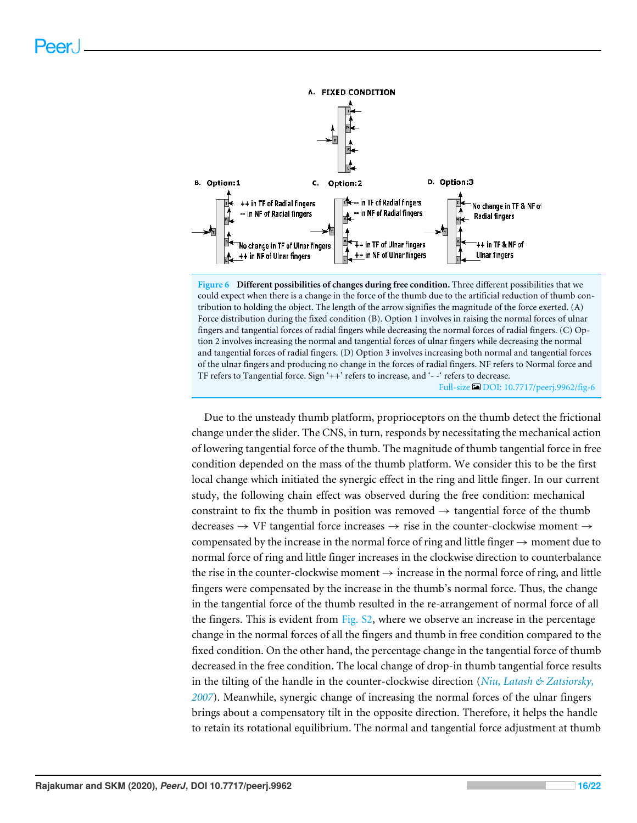

**Figure 6 Different possibilities of changes during free condition.** Three different possibilities that we could expect when there is a change in the force of the thumb due to the artificial reduction of thumb contribution to holding the object. The length of the arrow signifies the magnitude of the force exerted. (A) Force distribution during the fixed condition (B). Option 1 involves in raising the normal forces of ulnar fingers and tangential forces of radial fingers while decreasing the normal forces of radial fingers. (C) Option 2 involves increasing the normal and tangential forces of ulnar fingers while decreasing the normal and tangential forces of radial fingers. (D) Option 3 involves increasing both normal and tangential forces of the ulnar fingers and producing no change in the forces of radial fingers. NF refers to Normal force and TF refers to Tangential force. Sign '++' refers to increase, and '- -' refers to decrease. Full-size DOI: 10.7717/peerj.9962/fig-6

Due to the unsteady thumb platform, proprioceptors on the thumb detect the frictional change under the slider. The CNS, in turn, responds by necessitating the mechanical action of lowering tangential force of the thumb. The magnitude of thumb tangential force in free condition depended on the mass of the thumb platform. We consider this to be the first local change which initiated the synergic effect in the ring and little finger. In our current study, the following chain effect was observed during the free condition: mechanical constraint to fix the thumb in position was removed  $\rightarrow$  tangential force of the thumb decreases  $\rightarrow$  VF tangential force increases  $\rightarrow$  rise in the counter-clockwise moment  $\rightarrow$ compensated by the increase in the normal force of ring and little finger  $\rightarrow$  moment due to normal force of ring and little finger increases in the clockwise direction to counterbalance the rise in the counter-clockwise moment  $\rightarrow$  increase in the normal force of ring, and little fingers were compensated by the increase in the thumb's normal force. Thus, the change in the tangential force of the thumb resulted in the re-arrangement of normal force of all the fingers. This is evident from Fig. S2, where we observe an increase in the percentage change in the normal forces of all the fingers and thumb in free condition compared to the fixed condition. On the other hand, the percentage change in the tangential force of thumb decreased in the free condition. The local change of drop-in thumb tangential force results in the tilting of the handle in the counter-clockwise direction (*Niu, Latash & Zatsiorsky, 2007*). Meanwhile, synergic change of increasing the normal forces of the ulnar fingers brings about a compensatory tilt in the opposite direction. Therefore, it helps the handle to retain its rotational equilibrium. The normal and tangential force adjustment at thumb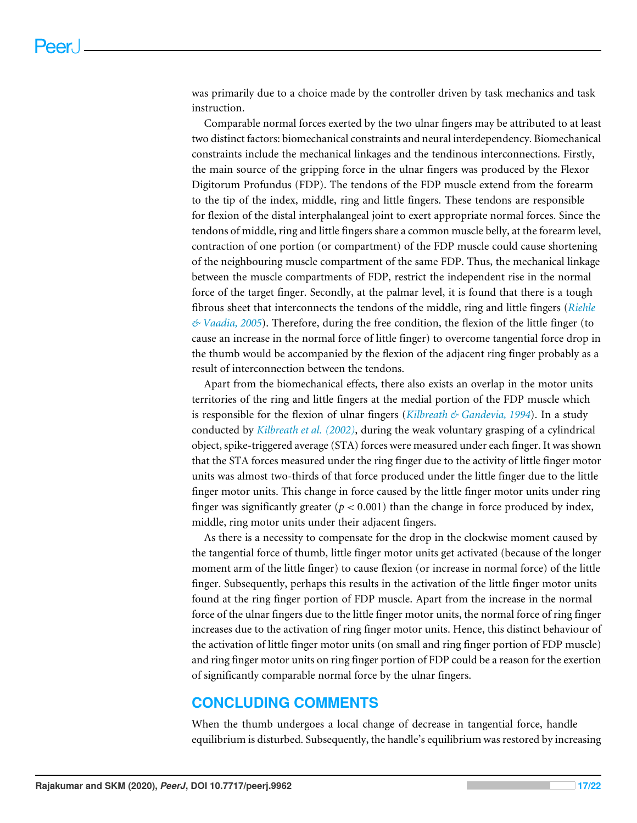was primarily due to a choice made by the controller driven by task mechanics and task instruction.

Comparable normal forces exerted by the two ulnar fingers may be attributed to at least two distinct factors: biomechanical constraints and neural interdependency. Biomechanical constraints include the mechanical linkages and the tendinous interconnections. Firstly, the main source of the gripping force in the ulnar fingers was produced by the Flexor Digitorum Profundus (FDP). The tendons of the FDP muscle extend from the forearm to the tip of the index, middle, ring and little fingers. These tendons are responsible for flexion of the distal interphalangeal joint to exert appropriate normal forces. Since the tendons of middle, ring and little fingers share a common muscle belly, at the forearm level, contraction of one portion (or compartment) of the FDP muscle could cause shortening of the neighbouring muscle compartment of the same FDP. Thus, the mechanical linkage between the muscle compartments of FDP, restrict the independent rise in the normal force of the target finger. Secondly, at the palmar level, it is found that there is a tough fibrous sheet that interconnects the tendons of the middle, ring and little fingers (*Riehle & Vaadia, 2005*). Therefore, during the free condition, the flexion of the little finger (to cause an increase in the normal force of little finger) to overcome tangential force drop in the thumb would be accompanied by the flexion of the adjacent ring finger probably as a result of interconnection between the tendons.

Apart from the biomechanical effects, there also exists an overlap in the motor units territories of the ring and little fingers at the medial portion of the FDP muscle which is responsible for the flexion of ulnar fingers (*Kilbreath & Gandevia, 1994*). In a study conducted by *Kilbreath et al. (2002)*, during the weak voluntary grasping of a cylindrical object, spike-triggered average (STA) forces were measured under each finger. It was shown that the STA forces measured under the ring finger due to the activity of little finger motor units was almost two-thirds of that force produced under the little finger due to the little finger motor units. This change in force caused by the little finger motor units under ring finger was significantly greater  $(p < 0.001)$  than the change in force produced by index, middle, ring motor units under their adjacent fingers.

As there is a necessity to compensate for the drop in the clockwise moment caused by the tangential force of thumb, little finger motor units get activated (because of the longer moment arm of the little finger) to cause flexion (or increase in normal force) of the little finger. Subsequently, perhaps this results in the activation of the little finger motor units found at the ring finger portion of FDP muscle. Apart from the increase in the normal force of the ulnar fingers due to the little finger motor units, the normal force of ring finger increases due to the activation of ring finger motor units. Hence, this distinct behaviour of the activation of little finger motor units (on small and ring finger portion of FDP muscle) and ring finger motor units on ring finger portion of FDP could be a reason for the exertion of significantly comparable normal force by the ulnar fingers.

# **CONCLUDING COMMENTS**

When the thumb undergoes a local change of decrease in tangential force, handle equilibrium is disturbed. Subsequently, the handle's equilibrium was restored by increasing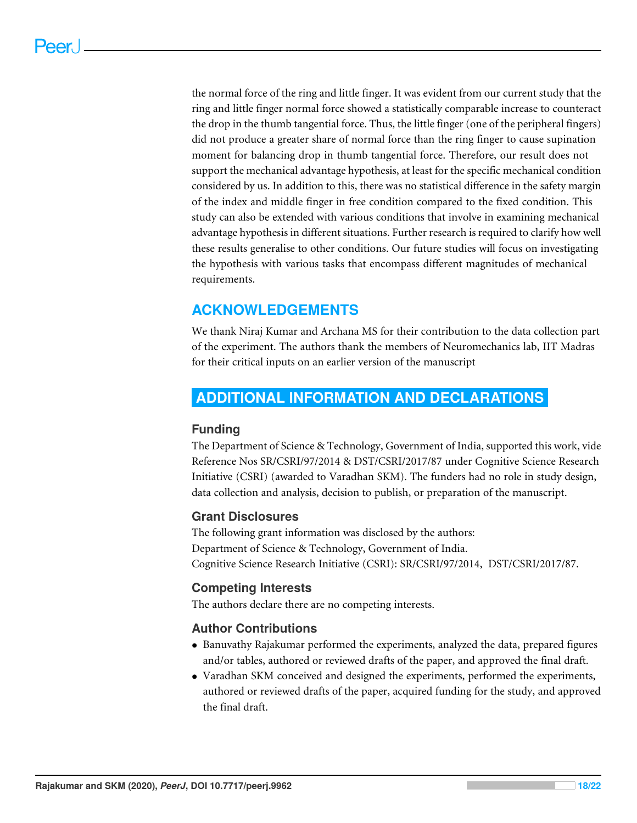the normal force of the ring and little finger. It was evident from our current study that the ring and little finger normal force showed a statistically comparable increase to counteract the drop in the thumb tangential force. Thus, the little finger (one of the peripheral fingers) did not produce a greater share of normal force than the ring finger to cause supination moment for balancing drop in thumb tangential force. Therefore, our result does not support the mechanical advantage hypothesis, at least for the specific mechanical condition considered by us. In addition to this, there was no statistical difference in the safety margin of the index and middle finger in free condition compared to the fixed condition. This study can also be extended with various conditions that involve in examining mechanical advantage hypothesis in different situations. Further research is required to clarify how well these results generalise to other conditions. Our future studies will focus on investigating the hypothesis with various tasks that encompass different magnitudes of mechanical requirements.

# **ACKNOWLEDGEMENTS**

We thank Niraj Kumar and Archana MS for their contribution to the data collection part of the experiment. The authors thank the members of Neuromechanics lab, IIT Madras for their critical inputs on an earlier version of the manuscript

# **ADDITIONAL INFORMATION AND DECLARATIONS**

# **Funding**

The Department of Science & Technology, Government of India, supported this work, vide Reference Nos SR/CSRI/97/2014 & DST/CSRI/2017/87 under Cognitive Science Research Initiative (CSRI) (awarded to Varadhan SKM). The funders had no role in study design, data collection and analysis, decision to publish, or preparation of the manuscript.

# **Grant Disclosures**

The following grant information was disclosed by the authors: Department of Science & Technology, Government of India. Cognitive Science Research Initiative (CSRI): SR/CSRI/97/2014, DST/CSRI/2017/87.

# **Competing Interests**

The authors declare there are no competing interests.

# **Author Contributions**

- Banuvathy Rajakumar performed the experiments, analyzed the data, prepared figures and/or tables, authored or reviewed drafts of the paper, and approved the final draft.
- Varadhan SKM conceived and designed the experiments, performed the experiments, authored or reviewed drafts of the paper, acquired funding for the study, and approved the final draft.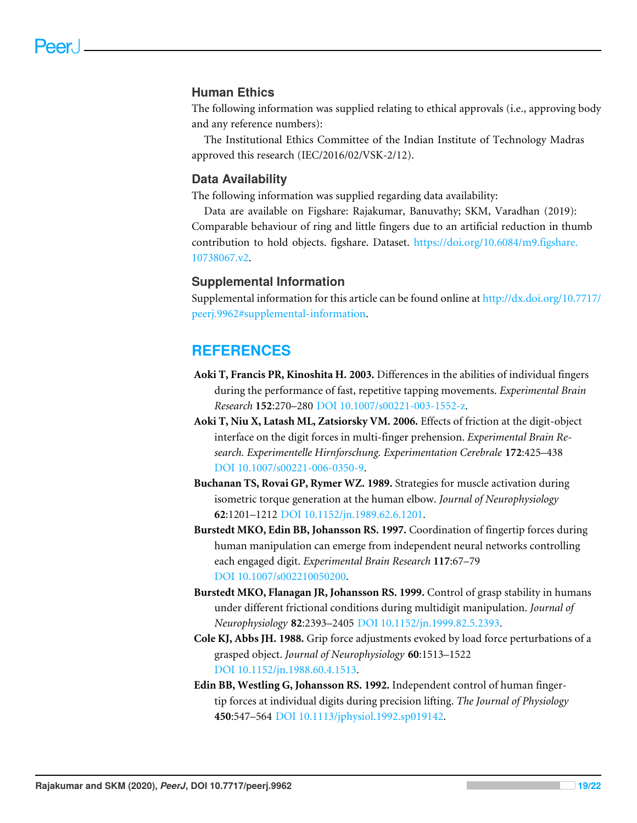#### **Human Ethics**

The following information was supplied relating to ethical approvals (i.e., approving body and any reference numbers):

The Institutional Ethics Committee of the Indian Institute of Technology Madras approved this research (IEC/2016/02/VSK-2/12).

#### **Data Availability**

The following information was supplied regarding data availability:

Data are available on Figshare: Rajakumar, Banuvathy; SKM, Varadhan (2019): Comparable behaviour of ring and little fingers due to an artificial reduction in thumb contribution to hold objects. figshare. Dataset. https://doi.org/10.6084/m9.figshare. 10738067.v2.

#### **Supplemental Information**

Supplemental information for this article can be found online at http://dx.doi.org/10.7717/ peerj.9962#supplemental-information.

# **REFERENCES**

- **Aoki T, Francis PR, Kinoshita H. 2003.** Differences in the abilities of individual fingers during the performance of fast, repetitive tapping movements. *Experimental Brain Research* **152**:270–280 DOI 10.1007/s00221-003-1552-z.
- **Aoki T, Niu X, Latash ML, Zatsiorsky VM. 2006.** Effects of friction at the digit-object interface on the digit forces in multi-finger prehension. *Experimental Brain Research. Experimentelle Hirnforschung. Experimentation Cerebrale* **172**:425–438 DOI 10.1007/s00221-006-0350-9.
- **Buchanan TS, Rovai GP, Rymer WZ. 1989.** Strategies for muscle activation during isometric torque generation at the human elbow. *Journal of Neurophysiology* **62**:1201–1212 DOI 10.1152/jn.1989.62.6.1201.
- **Burstedt MKO, Edin BB, Johansson RS. 1997.** Coordination of fingertip forces during human manipulation can emerge from independent neural networks controlling each engaged digit. *Experimental Brain Research* **117**:67–79 DOI 10.1007/s002210050200.
- **Burstedt MKO, Flanagan JR, Johansson RS. 1999.** Control of grasp stability in humans under different frictional conditions during multidigit manipulation. *Journal of Neurophysiology* **82**:2393–2405 DOI 10.1152/jn.1999.82.5.2393.
- **Cole KJ, Abbs JH. 1988.** Grip force adjustments evoked by load force perturbations of a grasped object. *Journal of Neurophysiology* **60**:1513–1522 DOI 10.1152/jn.1988.60.4.1513.
- **Edin BB, Westling G, Johansson RS. 1992.** Independent control of human fingertip forces at individual digits during precision lifting. *The Journal of Physiology* **450**:547–564 DOI 10.1113/jphysiol.1992.sp019142.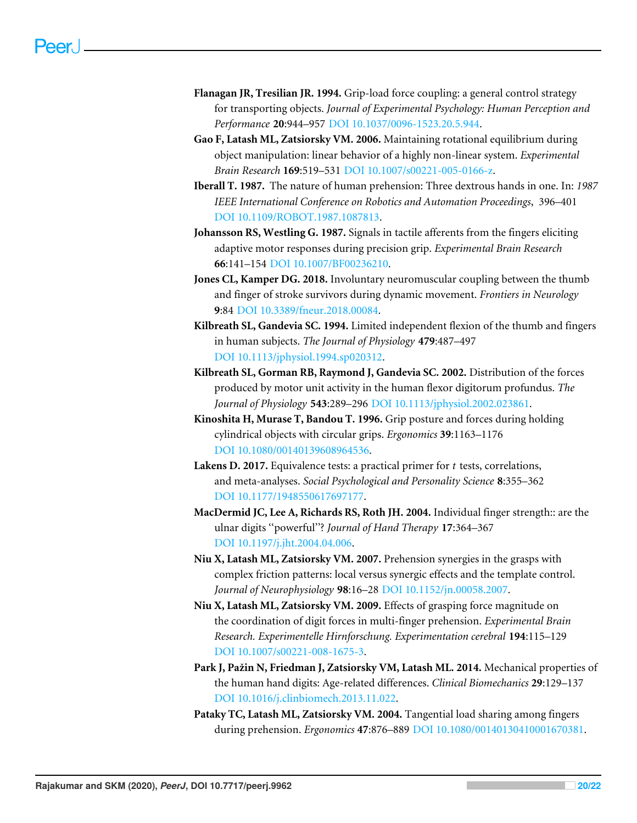- **Flanagan JR, Tresilian JR. 1994.** Grip-load force coupling: a general control strategy for transporting objects. *Journal of Experimental Psychology: Human Perception and Performance* **20**:944–957 DOI 10.1037/0096-1523.20.5.944.
- **Gao F, Latash ML, Zatsiorsky VM. 2006.** Maintaining rotational equilibrium during object manipulation: linear behavior of a highly non-linear system. *Experimental Brain Research* **169**:519–531 DOI 10.1007/s00221-005-0166-z.
- **Iberall T. 1987.** The nature of human prehension: Three dextrous hands in one. In: *1987 IEEE International Conference on Robotics and Automation Proceedings*, 396–401 DOI 10.1109/ROBOT.1987.1087813.
- **Johansson RS, Westling G. 1987.** Signals in tactile afferents from the fingers eliciting adaptive motor responses during precision grip. *Experimental Brain Research* **66**:141–154 DOI 10.1007/BF00236210.
- **Jones CL, Kamper DG. 2018.** Involuntary neuromuscular coupling between the thumb and finger of stroke survivors during dynamic movement. *Frontiers in Neurology* **9**:84 DOI 10.3389/fneur.2018.00084.
- **Kilbreath SL, Gandevia SC. 1994.** Limited independent flexion of the thumb and fingers in human subjects. *The Journal of Physiology* **479**:487–497 DOI 10.1113/jphysiol.1994.sp020312.
- **Kilbreath SL, Gorman RB, Raymond J, Gandevia SC. 2002.** Distribution of the forces produced by motor unit activity in the human flexor digitorum profundus. *The Journal of Physiology* **543**:289–296 DOI 10.1113/jphysiol.2002.023861.
- **Kinoshita H, Murase T, Bandou T. 1996.** Grip posture and forces during holding cylindrical objects with circular grips. *Ergonomics* **39**:1163–1176 DOI 10.1080/00140139608964536.
- **Lakens D. 2017.** Equivalence tests: a practical primer for *t* tests, correlations, and meta-analyses. *Social Psychological and Personality Science* **8**:355–362 DOI 10.1177/1948550617697177.
- **MacDermid JC, Lee A, Richards RS, Roth JH. 2004.** Individual finger strength:: are the ulnar digits ''powerful''? *Journal of Hand Therapy* **17**:364–367 DOI 10.1197/j.jht.2004.04.006.
- **Niu X, Latash ML, Zatsiorsky VM. 2007.** Prehension synergies in the grasps with complex friction patterns: local versus synergic effects and the template control. *Journal of Neurophysiology* **98**:16–28 DOI 10.1152/jn.00058.2007.
- **Niu X, Latash ML, Zatsiorsky VM. 2009.** Effects of grasping force magnitude on the coordination of digit forces in multi-finger prehension. *Experimental Brain Research. Experimentelle Hirnforschung. Experimentation cerebral* **194**:115–129 DOI 10.1007/s00221-008-1675-3.
- **Park J, Pažin N, Friedman J, Zatsiorsky VM, Latash ML. 2014.** Mechanical properties of the human hand digits: Age-related differences. *Clinical Biomechanics* **29**:129–137 DOI 10.1016/j.clinbiomech.2013.11.022.
- **Pataky TC, Latash ML, Zatsiorsky VM. 2004.** Tangential load sharing among fingers during prehension. *Ergonomics* **47**:876–889 DOI 10.1080/00140130410001670381.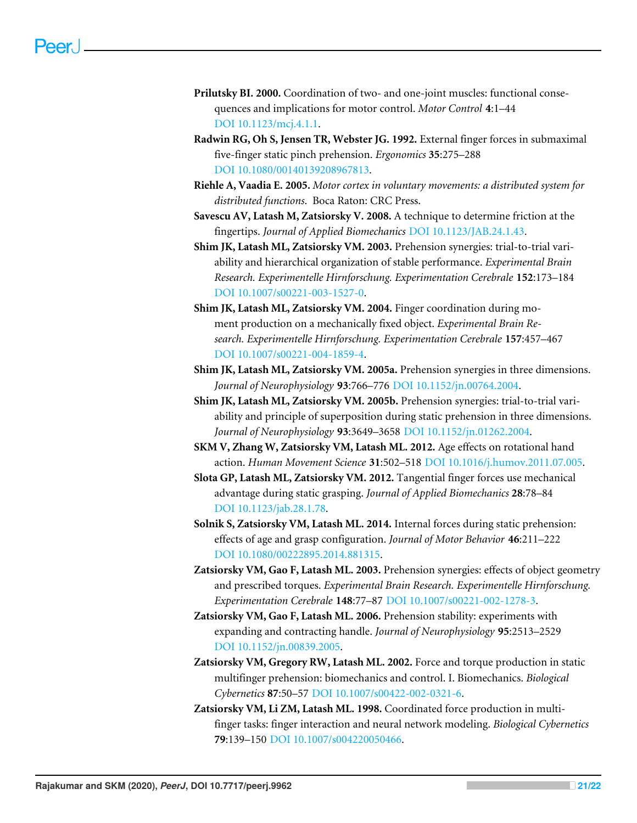- **Prilutsky BI. 2000.** Coordination of two- and one-joint muscles: functional consequences and implications for motor control. *Motor Control* **4**:1–44 DOI 10.1123/mcj.4.1.1.
- **Radwin RG, Oh S, Jensen TR, Webster JG. 1992.** External finger forces in submaximal five-finger static pinch prehension. *Ergonomics* **35**:275–288 DOI 10.1080/00140139208967813.
- **Riehle A, Vaadia E. 2005.** *Motor cortex in voluntary movements: a distributed system for distributed functions*. Boca Raton: CRC Press.
- **Savescu AV, Latash M, Zatsiorsky V. 2008.** A technique to determine friction at the fingertips. *Journal of Applied Biomechanics* DOI 10.1123/JAB.24.1.43.
- **Shim JK, Latash ML, Zatsiorsky VM. 2003.** Prehension synergies: trial-to-trial variability and hierarchical organization of stable performance. *Experimental Brain Research. Experimentelle Hirnforschung. Experimentation Cerebrale* **152**:173–184 DOI 10.1007/s00221-003-1527-0.
- **Shim JK, Latash ML, Zatsiorsky VM. 2004.** Finger coordination during moment production on a mechanically fixed object. *Experimental Brain Research. Experimentelle Hirnforschung. Experimentation Cerebrale* **157**:457–467 DOI 10.1007/s00221-004-1859-4.
- **Shim JK, Latash ML, Zatsiorsky VM. 2005a.** Prehension synergies in three dimensions. *Journal of Neurophysiology* **93**:766–776 DOI 10.1152/jn.00764.2004.
- **Shim JK, Latash ML, Zatsiorsky VM. 2005b.** Prehension synergies: trial-to-trial variability and principle of superposition during static prehension in three dimensions. *Journal of Neurophysiology* **93**:3649–3658 DOI 10.1152/jn.01262.2004.
- **SKM V, Zhang W, Zatsiorsky VM, Latash ML. 2012.** Age effects on rotational hand action. *Human Movement Science* **31**:502–518 DOI 10.1016/j.humov.2011.07.005.
- **Slota GP, Latash ML, Zatsiorsky VM. 2012.** Tangential finger forces use mechanical advantage during static grasping. *Journal of Applied Biomechanics* **28**:78–84 DOI 10.1123/jab.28.1.78.
- **Solnik S, Zatsiorsky VM, Latash ML. 2014.** Internal forces during static prehension: effects of age and grasp configuration. *Journal of Motor Behavior* **46**:211–222 DOI 10.1080/00222895.2014.881315.
- **Zatsiorsky VM, Gao F, Latash ML. 2003.** Prehension synergies: effects of object geometry and prescribed torques. *Experimental Brain Research. Experimentelle Hirnforschung. Experimentation Cerebrale* **148**:77–87 DOI 10.1007/s00221-002-1278-3.
- **Zatsiorsky VM, Gao F, Latash ML. 2006.** Prehension stability: experiments with expanding and contracting handle. *Journal of Neurophysiology* **95**:2513–2529 DOI 10.1152/jn.00839.2005.
- **Zatsiorsky VM, Gregory RW, Latash ML. 2002.** Force and torque production in static multifinger prehension: biomechanics and control. I. Biomechanics. *Biological Cybernetics* **87**:50–57 DOI 10.1007/s00422-002-0321-6.
- **Zatsiorsky VM, Li ZM, Latash ML. 1998.** Coordinated force production in multifinger tasks: finger interaction and neural network modeling. *Biological Cybernetics* **79**:139–150 DOI 10.1007/s004220050466.